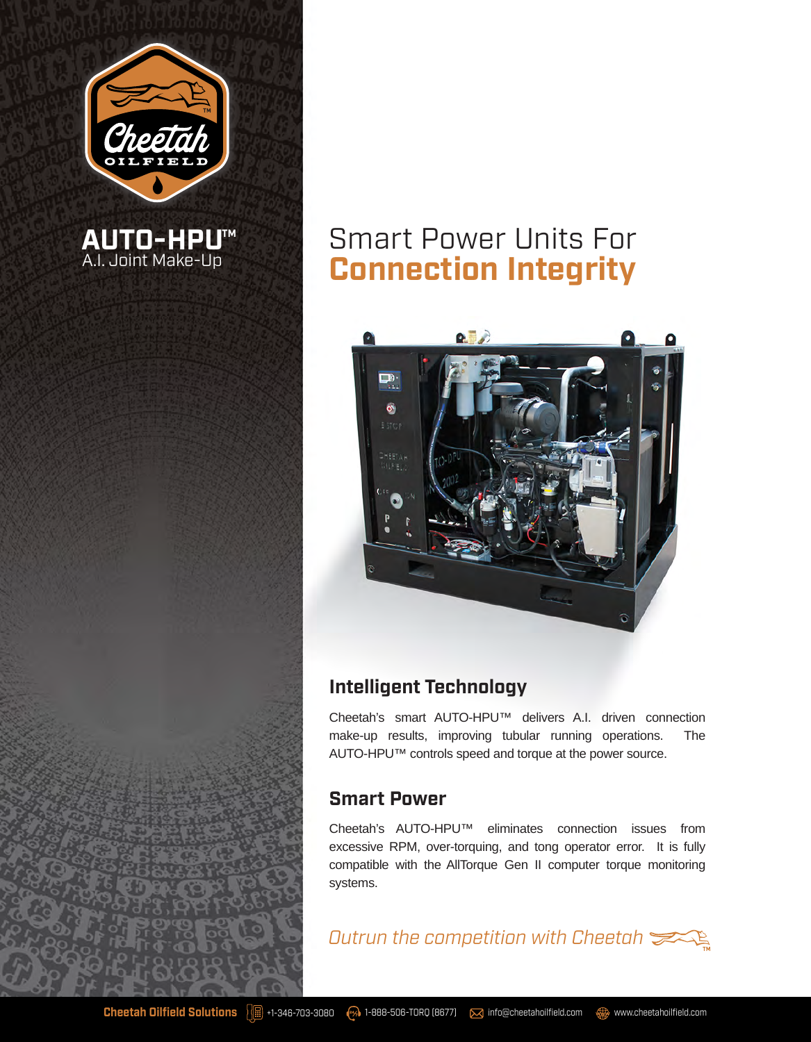

**AUTO-HPU**  A.I. Joint Make-Up

**™**

# Smart Power Units For **Connection Integrity**



## **Intelligent Technology**

Cheetah's smart AUTO-HPU™ delivers A.I. driven connection make-up results, improving tubular running operations. The AUTO-HPU™ controls speed and torque at the power source.

## **Smart Power**

Cheetah's AUTO-HPU™ eliminates connection issues from excessive RPM, over-torquing, and tong operator error. It is fully compatible with the AllTorque Gen II computer torque monitoring systems.

*Outrun the competition with Cheetah*